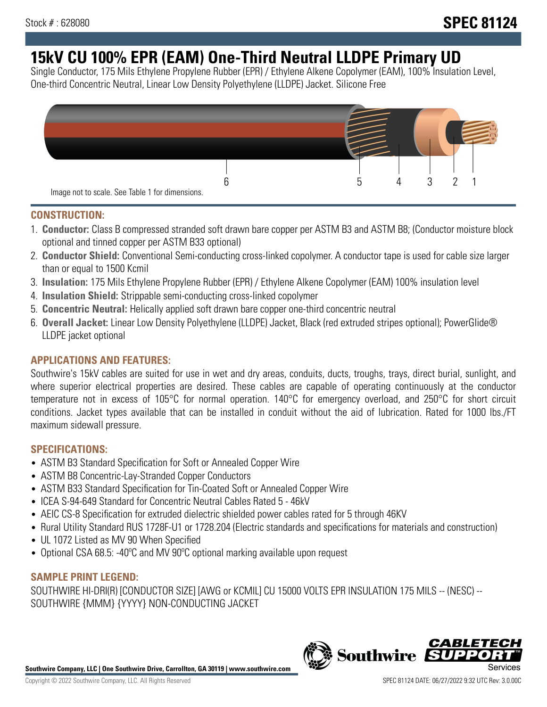# **15kV CU 100% EPR (EAM) One-Third Neutral LLDPE Primary UD**

Single Conductor, 175 Mils Ethylene Propylene Rubber (EPR) / Ethylene Alkene Copolymer (EAM), 100% Insulation Level, One-third Concentric Neutral, Linear Low Density Polyethylene (LLDPE) Jacket. Silicone Free



## **CONSTRUCTION:**

- 1. **Conductor:** Class B compressed stranded soft drawn bare copper per ASTM B3 and ASTM B8; (Conductor moisture block optional and tinned copper per ASTM B33 optional)
- 2. **Conductor Shield:** Conventional Semi-conducting cross-linked copolymer. A conductor tape is used for cable size larger than or equal to 1500 Kcmil
- 3. **Insulation:** 175 Mils Ethylene Propylene Rubber (EPR) / Ethylene Alkene Copolymer (EAM) 100% insulation level
- 4. **Insulation Shield:** Strippable semi-conducting cross-linked copolymer
- 5. **Concentric Neutral:** Helically applied soft drawn bare copper one-third concentric neutral
- 6. **Overall Jacket:** Linear Low Density Polyethylene (LLDPE) Jacket, Black (red extruded stripes optional); PowerGlide® LLDPE jacket optional

## **APPLICATIONS AND FEATURES:**

Southwire's 15kV cables are suited for use in wet and dry areas, conduits, ducts, troughs, trays, direct burial, sunlight, and where superior electrical properties are desired. These cables are capable of operating continuously at the conductor temperature not in excess of 105°C for normal operation. 140°C for emergency overload, and 250°C for short circuit conditions. Jacket types available that can be installed in conduit without the aid of lubrication. Rated for 1000 lbs./FT maximum sidewall pressure.

## **SPECIFICATIONS:**

- ASTM B3 Standard Specification for Soft or Annealed Copper Wire
- ASTM B8 Concentric-Lay-Stranded Copper Conductors
- ASTM B33 Standard Specification for Tin-Coated Soft or Annealed Copper Wire
- ICEA S-94-649 Standard for Concentric Neutral Cables Rated 5 46kV
- AEIC CS-8 Specification for extruded dielectric shielded power cables rated for 5 through 46KV
- Rural Utility Standard RUS 1728F-U1 or 1728.204 (Electric standards and specifications for materials and construction)
- UL 1072 Listed as MV 90 When Specified
- Optional CSA 68.5: -40°C and MV 90°C optional marking available upon request

# **SAMPLE PRINT LEGEND:**

SOUTHWIRE HI-DRI(R) [CONDUCTOR SIZE] [AWG or KCMIL] CU 15000 VOLTS EPR INSULATION 175 MILS -- (NESC) -- SOUTHWIRE {MMM} {YYYY} NON-CONDUCTING JACKET

**Southwire Company, LLC | One Southwire Drive, Carrollton, GA 30119 | www.southwire.com**